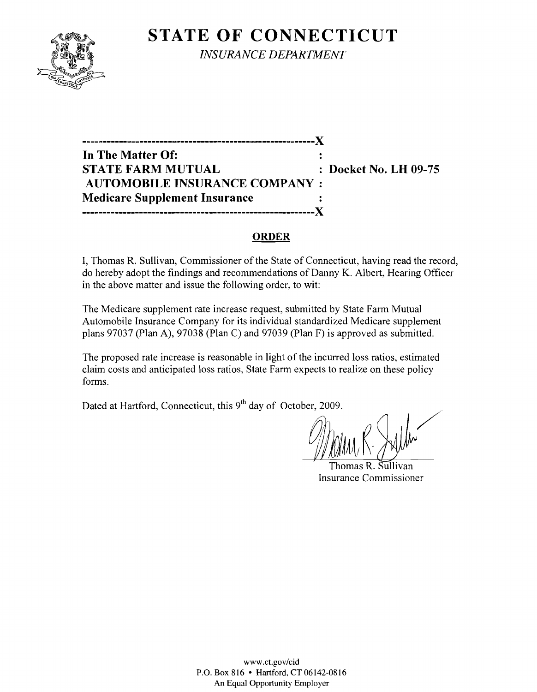# **STATE OF CONNECTICUT**



*INSURANCE DEPARTMENT* 

**---------------------------------------------------------)( In The Matter Of:**   $\ddot{\phantom{a}}$ **STATE FARM MUTUAL : Docket No. LH 09-75 AUTOMOBILE INSURANCE COMPANY: Medicare Supplement Insurance ---------------------------------------------------------)(** 

### **ORDER**

I, Thomas R. Sullivan, Commissioner of the State of Connecticut, having read the record, do hereby adopt the findings and recommendations of Danny K. Albert, Hearing Officer in the above matter and issue the following order, to wit:

The Medicare supplement rate increase request, submitted by State Farm Mutual Automobile Insurance Company for its individual standardized Medicare supplement plans 97037 (Plan A), 97038 (Plan C) and 97039 (Plan F) is approved as submitted.

The proposed rate increase is reasonable in light of the incurred loss ratios, estimated claim costs and anticipated loss ratios, State Farm expects to realize on these policy forms.

Dated at Hartford, Connecticut, this 9<sup>th</sup> day of October, 2009.

Thomas R. Sullivan Insurance Commissioner

www.ct.gov/cid P.O. Box 816 • Hartford, CT 06142-0816 An Equal Opportunity Employer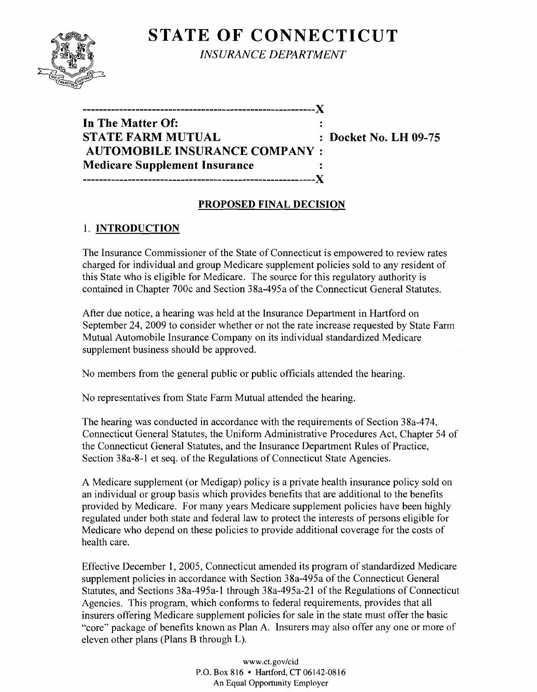# **STATE OF CONNECTICUT**



*INSURANCE DEPARTMENT* 

| In The Matter Of:                    |  |
|--------------------------------------|--|
| STATE FARM MUTUAL                    |  |
| <b>AUTOMOBILE INSURANCE COMPANY:</b> |  |
| <b>Medicare Supplement Insurance</b> |  |
| --------                             |  |

**Docket No. LH 09-75** 

### **PROPOSED FINAL DECISION**

## 1. **INTRODUCTION**

The Insurance Commissioner of the State of Connecticut is empowered to review rates charged for individual and group Medicare supplement policies sold to any resident of this State who is eligible for Medicare. The source for this regulatory authority is contained in Chapter 700c and Section 38a-495a of the Connecticut General Statutes.

After due notice, a hearing was held at the Insurance Department in Hartford on September 24, 2009 to consider whether or not the rate increase requested by State Farm Mutual Automobile Insurance Company on its individual standardized Medicare supplement business should be approved.

No members from the general public or public officials attended the hearing.

No representatives from State Farm Mutual attended the hearing.

The hearing was conducted in accordance with the requirements of Section 38a-474, Connecticut General Statutes, the Uniform Administrative Procedures Act, Chapter 54 of the Connecticut General Statutes, and the Insurance Department Rules of Practice, Section 38a-8-1 et seq. of the Regulations of Connecticut State Agencies.

A Medicare supplement (or Medigap) policy is a private health insurance policy sold on an individual or group basis which provides benefits that are additional to the benefits provided by Medicare. For many years Medicare supplement policies have been highly regulated under both state and federal law to protect the interests of persons eligible for Medicare who depend on these policies to provide additional coverage for the costs of health care.

Effective December 1, 2005, Connecticut amended its program of standardized Medicare supplement policies in accordance with Section 38a-495a of the Connecticut General Statutes, and Sections 38a-495a-l through 38a-495a-21 of the Regulations of Connecticut Agencies. This program, which conforms to federal requirements, provides that all insurers offering Medicare supplement policies for sale in the state must offer the basic "core" package of benefits known as Plan A. Insurers may also offer anyone or more of eleven other plans (Plans B through L).

> www.ct.gov/cid P.O. Box 816 • Hartford, CT 06142-0816 An Equal Opportunity Employer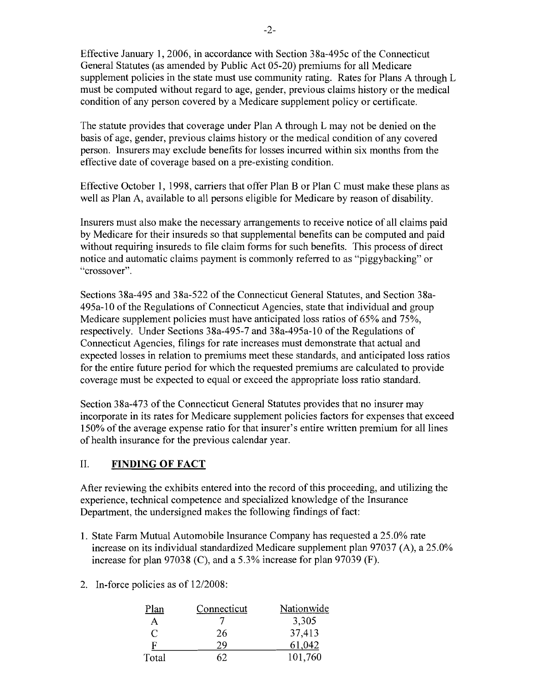Effective January 1,2006, in accordance with Section 38a-495c ofthe Connecticut General Statutes (as amended by Public Act 05-20) premiums for all Medicare supplement policies in the state must use community rating. Rates for Plans A through L must be computed without regard to age, gender, previous claims history or the medical condition of any person covered by a Medicare supplement policy or certificate.

The statute provides that coverage under Plan A through L may not be denied on the basis of age, gender, previous claims history or the medical condition of any covered person. Insurers may exclude benefits for losses incurred within six months from the effective date of coverage based on a pre-existing condition.

Effective October 1, 1998, carriers that offer Plan B or Plan C must make these plans as well as Plan A, available to all persons eligible for Medicare by reason of disability.

Insurers must also make the necessary arrangements to receive notice of all claims paid by Medicare for their insureds so that supplemental benefits can be computed and paid without requiring insureds to file claim forms for such benefits. This process of direct notice and automatic claims payment is commonly referred to as "piggybacking" or "crossover".

Sections 38a-495 and 38a-522 of the Connecticut General Statutes, and Section 38a-495a-l0 ofthe Regulations of Connecticut Agencies, state that individual and group Medicare supplement policies must have anticipated loss ratios of 65% and 75%, respectively. Under Sections 38a-495-7 and 38a-495a-10 of the Regulations of Connecticut Agencies, filings for rate increases must demonstrate that actual and expected losses in relation to premiums meet these standards, and anticipated loss ratios for the entire future period for which the requested premiums are calculated to provide coverage must be expected to equal or exceed the appropriate loss ratio standard.

Section 38a-473 of the Connecticut General Statutes provides that no insurer may incorporate in its rates for Medicare supplement policies factors for expenses that exceed 150% of the average expense ratio for that insurer's entire written premium for all lines of health insurance for the previous calendar year.

#### II. **FINDING OF FACT**

After reviewing the exhibits entered into the record of this proceeding, and utilizing the experience, technical competence and specialized knowledge of the Insurance Department, the undersigned makes the following findings of fact:

- 1. State Farm Mutual Automobile Insurance Company has requested a 25.0% rate increase on its individual standardized Medicare supplement plan 97037 (A), a 25.0% increase for plan 97038 (C), and a 5.3% increase for plan 97039 (F).
- 2. In-force policies as of 12/2008:

| Plan  | Connecticut | Nationwide |
|-------|-------------|------------|
| А     |             | 3,305      |
| C     | 26          | 37,413     |
| F     | 29          | 61,042     |
| Total |             | 101,760    |